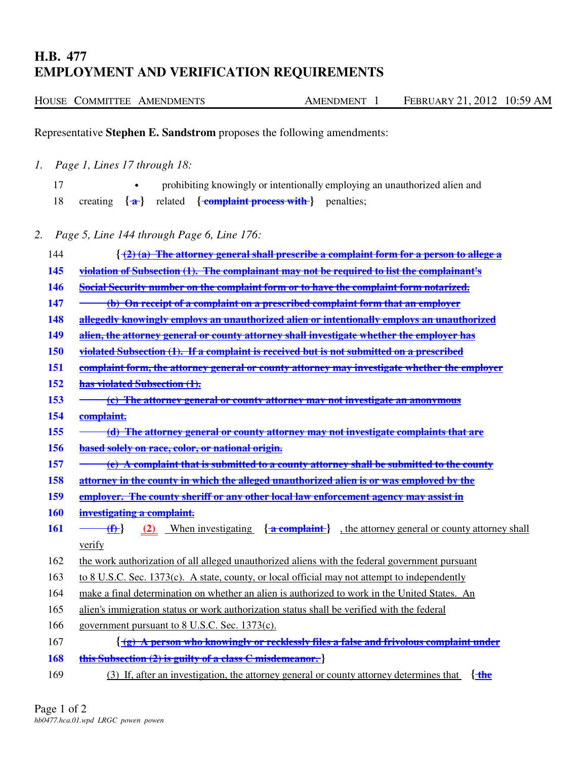## **H.B. 477 EMPLOYMENT AND VERIFICATION REQUIREMENTS**

|  | HOUSE COMMITTEE AMENDMENTS | AMENDMENT |  | FEBRUARY 21, 2012 10:59 AM |  |
|--|----------------------------|-----------|--|----------------------------|--|
|  |                            |           |  |                            |  |

Representative **Stephen E. Sandstrom** proposes the following amendments:

*1. Page 1, Lines 17 through 18:*

|  |  |                                                                                              | prohibiting knowingly or intentionally employing an unauthorized alien and |
|--|--|----------------------------------------------------------------------------------------------|----------------------------------------------------------------------------|
|  |  | 18 creating $\{\hat{\mathbf{a}}\}$ related $\{\text{complain }$ process with $\}$ penalties; |                                                                            |

*2. Page 5, Line 144 through Page 6, Line 176:*

| 144        | $\left\{ \frac{1}{2} \left( a \right)$ The attorney general shall prescribe a complaint form for a person to allege a      |  |  |  |  |
|------------|----------------------------------------------------------------------------------------------------------------------------|--|--|--|--|
| <b>145</b> | violation of Subsection (1). The complainant may not be required to list the complainant's                                 |  |  |  |  |
| <b>146</b> | Social Security number on the complaint form or to have the complaint form notarized.                                      |  |  |  |  |
| 147        | (b) On receipt of a complaint on a prescribed complaint form that an employer                                              |  |  |  |  |
| 148        | allegedly knowingly employs an unauthorized alien or intentionally employs an unauthorized                                 |  |  |  |  |
| 149        | alien, the attorney general or county attorney shall investigate whether the employer has                                  |  |  |  |  |
| <b>150</b> | violated Subsection (1). If a complaint is received but is not submitted on a prescribed                                   |  |  |  |  |
| <b>151</b> | complaint form, the attorney general or county attorney may investigate whether the employer                               |  |  |  |  |
| 152        | has violated Subsection (1).                                                                                               |  |  |  |  |
| 153        | (c) The attorney general or county attorney may not investigate an anonymous                                               |  |  |  |  |
| 154        | complaint.                                                                                                                 |  |  |  |  |
| 155        | (d) The attorney general or county attorney may not investigate complaints that are                                        |  |  |  |  |
| 156        | based solely on race, color, or national origin.                                                                           |  |  |  |  |
| 157        | $\overline{e}$ A complaint that is submitted to a county attorney shall be submitted to the county                         |  |  |  |  |
| <b>158</b> | attorney in the county in which the alleged unauthorized alien is or was employed by the                                   |  |  |  |  |
| <b>159</b> | employer. The county sheriff or any other local law enforcement agency may assist in                                       |  |  |  |  |
| <b>160</b> | investigating a complaint.                                                                                                 |  |  |  |  |
| <b>161</b> | (2) When investigating $\{\text{a} \text{complain}\}\$ , the attorney general or county attorney shall<br>$\{\mathbf{f}\}$ |  |  |  |  |
|            | verify                                                                                                                     |  |  |  |  |
| 162        | the work authorization of all alleged unauthorized aliens with the federal government pursuant                             |  |  |  |  |
| 163        | to 8 U.S.C. Sec. 1373(c). A state, county, or local official may not attempt to independently                              |  |  |  |  |
| 164        | make a final determination on whether an alien is authorized to work in the United States. An                              |  |  |  |  |
| 165        | alien's immigration status or work authorization status shall be verified with the federal                                 |  |  |  |  |
| 166        | government pursuant to 8 U.S.C. Sec. 1373(c).                                                                              |  |  |  |  |
| 167        | $\{\hat{g} \mid \hat{g} \}$ A person who knowingly or recklessly files a false and frivolous complaint under               |  |  |  |  |
| 168        | this Subsection (2) is guilty of a class C misdemeanor.                                                                    |  |  |  |  |
|            |                                                                                                                            |  |  |  |  |

169 (3) If, after an investigation, the attorney general or county attorney determines that **{ the**